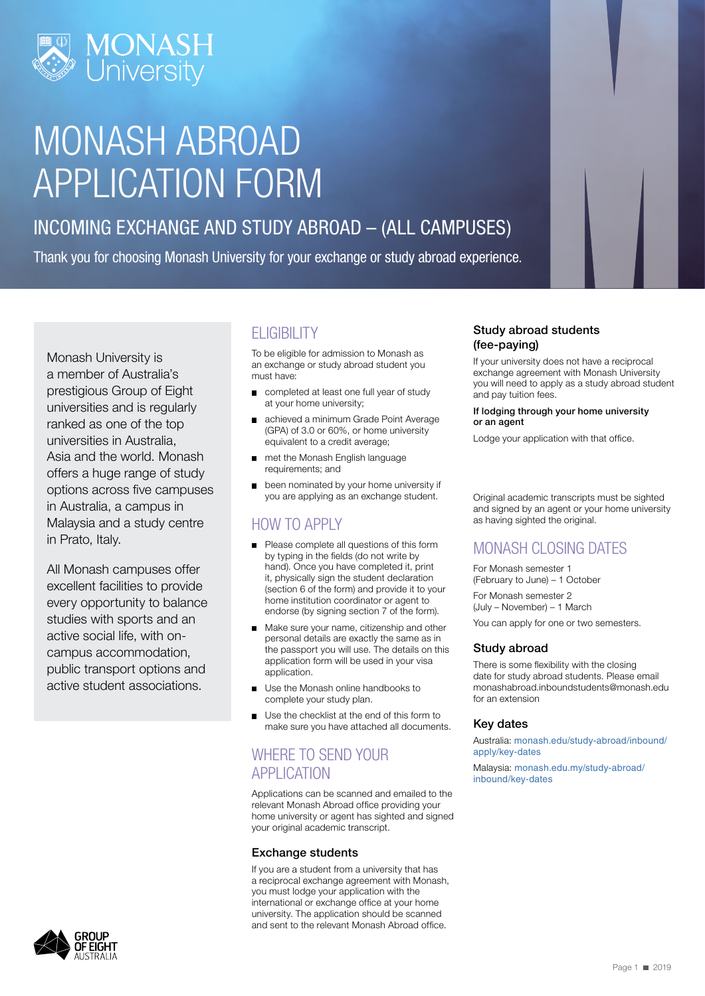

## MONASH ABROAD APPLICATION FORM

### INCOMING EXCHANGE AND STUDY ABROAD – (ALL CAMPUSES)

Thank you for choosing Monash University for your exchange or study abroad experience.

Monash University is a member of Australia's prestigious Group of Eight universities and is regularly ranked as one of the top universities in Australia, Asia and the world. Monash offers a huge range of study options across five campuses in Australia, a campus in Malaysia and a study centre in Prato, Italy.

All Monash campuses offer excellent facilities to provide every opportunity to balance studies with sports and an active social life, with oncampus accommodation, public transport options and active student associations.

## **ELIGIBILITY**

To be eligible for admission to Monash as an exchange or study abroad student you must have:

- completed at least one full year of study at your home university;
- achieved a minimum Grade Point Average (GPA) of 3.0 or 60%, or home university equivalent to a credit average;
- met the Monash English language requirements; and
- been nominated by your home university if you are applying as an exchange student.

### HOW TO APPLY

- Please complete all questions of this form by typing in the fields (do not write by hand). Once you have completed it, print it, physically sign the student declaration (section 6 of the form) and provide it to your home institution coordinator or agent to endorse (by signing section 7 of the form).
- Make sure your name, citizenship and other personal details are exactly the same as in the passport you will use. The details on this application form will be used in your visa application.
- $\blacksquare$ Use the Monash online handbooks to complete your study plan.
- Use the checklist at the end of this form to  $\blacksquare$ make sure you have attached all documents.

### WHERE TO SEND YOUR APPLICATION

Applications can be scanned and emailed to the relevant Monash Abroad office providing your home university or agent has sighted and signed your original academic transcript.

### Exchange students

If you are a student from a university that has a reciprocal exchange agreement with Monash, you must lodge your application with the international or exchange office at your home university. The application should be scanned and sent to the relevant Monash Abroad office.

### Study abroad students (fee-paying)

If your university does not have a reciprocal exchange agreement with Monash University you will need to apply as a study abroad student and pay tuition fees.

#### If lodging through your home university or an agent

Lodge your application with that office.

Original academic transcripts must be sighted and signed by an agent or your home university as having sighted the original.

### MONASH CLOSING DATES

For Monash semester 1 (February to June) – 1 October

For Monash semester 2 (July – November) – 1 March

You can apply for one or two semesters.

### Study abroad

There is some flexibility with the closing date for study abroad students. Please email monashabroad.inboundstudents@monash.edu for an extension

### Key dates

Australia: [monash.edu/study-abroad/inbound/](https://www.monash.edu/study-abroad/inbound/apply/key-dates) [apply/key-dates](https://www.monash.edu/study-abroad/inbound/apply/key-dates)

Malaysia: [monash.edu.my/study-abroad/](https://monash.edu.my/study-abroad/inbound/key-dates) [inbound/key-dates](https://monash.edu.my/study-abroad/inbound/key-dates)

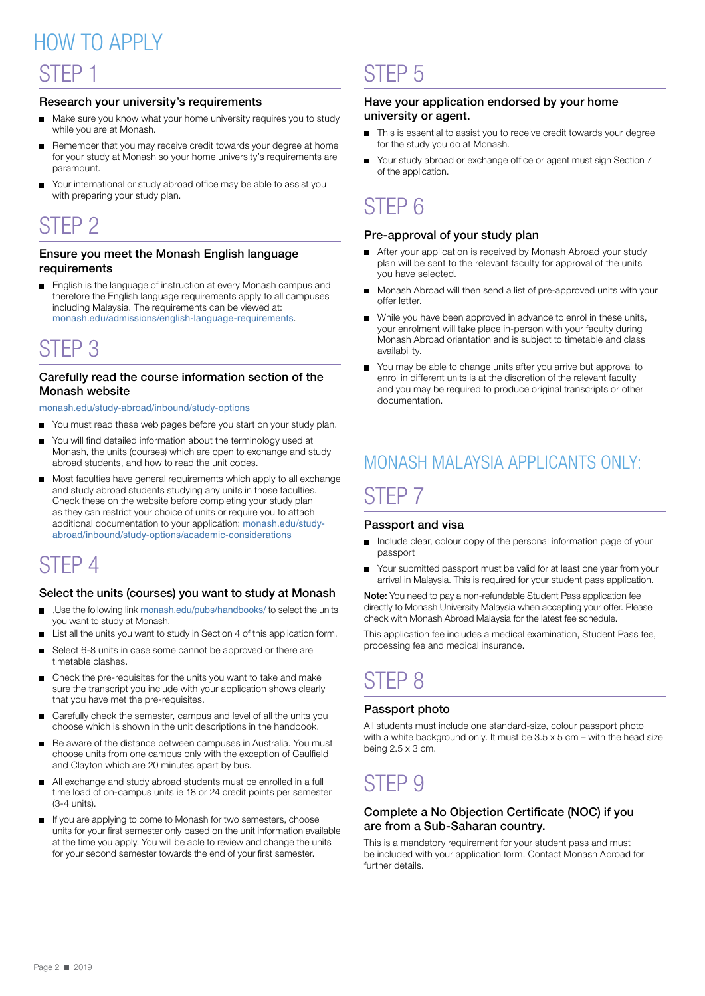## STEP 1 HOW TO APPI Y

### Research your university's requirements

- Make sure you know what your home university requires you to study while you are at Monash.
- Remember that you may receive credit towards your degree at home for your study at Monash so your home university's requirements are paramount.
- Your international or study abroad office may be able to assist you with preparing your study plan.

### STEP 2

### Ensure you meet the Monash English language requirements

English is the language of instruction at every Monash campus and  $\blacksquare$ therefore the English language requirements apply to all campuses including Malaysia. The requirements can be viewed at: [monash.edu/admissions/english-language-requirements](http://monash.edu/admissions/english-language-requirements).

## STEP 3

### Carefully read the course information section of the Monash website

[monash.edu/study-abroad/inbound/study-options](https://www.monash.edu/study-abroad/inbound/study-options)

- You must read these web pages before you start on your study plan.
- You will find detailed information about the terminology used at Monash, the units (courses) which are open to exchange and study abroad students, and how to read the unit codes.
- Most faculties have general requirements which apply to all exchange  $\blacksquare$ and study abroad students studying any units in those faculties. Check these on the website before completing your study plan as they can restrict your choice of units or require you to attach additional documentation to your application: [monash.edu/study](https://www.monash.edu/study-abroad/inbound/study-options/academic-considerations)[abroad/inbound/study-options/academic-considerations](https://www.monash.edu/study-abroad/inbound/study-options/academic-considerations)

## STEP 4

### Select the units (courses) you want to study at Monash

- ,Use the following link [monash.edu/pubs/handbooks](http://monash.edu/pubs/handbooks/)/ to select the units you want to study at Monash.
- List all the units you want to study in Section 4 of this application form. п
- Select 6-8 units in case some cannot be approved or there are timetable clashes.
- Check the pre-requisites for the units you want to take and make  $\blacksquare$ sure the transcript you include with your application shows clearly that you have met the pre-requisites.
- Carefully check the semester, campus and level of all the units you choose which is shown in the unit descriptions in the handbook.
- Be aware of the distance between campuses in Australia. You must choose units from one campus only with the exception of Caulfield and Clayton which are 20 minutes apart by bus.
- All exchange and study abroad students must be enrolled in a full  $\blacksquare$ time load of on-campus units ie 18 or 24 credit points per semester (3-4 units).
- If you are applying to come to Monash for two semesters, choose units for your first semester only based on the unit information available at the time you apply. You will be able to review and change the units for your second semester towards the end of your first semester.

## STEP 5

### Have your application endorsed by your home university or agent.

- This is essential to assist you to receive credit towards your degree for the study you do at Monash.
- Your study abroad or exchange office or agent must sign Section 7  $\blacksquare$ of the application.

### STEP 6

### Pre-approval of your study plan

- After your application is received by Monash Abroad your study plan will be sent to the relevant faculty for approval of the units you have selected.
- Monash Abroad will then send a list of pre‑approved units with your  $\blacksquare$ offer letter.
- While you have been approved in advance to enrol in these units, your enrolment will take place in-person with your faculty during Monash Abroad orientation and is subject to timetable and class availability.
- You may be able to change units after you arrive but approval to enrol in different units is at the discretion of the relevant faculty and you may be required to produce original transcripts or other documentation.

## MONASH MALAYSIA APPLICANTS ONLY: STEP 7

### Passport and visa

- Include clear, colour copy of the personal information page of your  $\blacksquare$ passport
- Your submitted passport must be valid for at least one year from your  $\blacksquare$ arrival in Malaysia. This is required for your student pass application.

Note: You need to pay a non-refundable Student Pass application fee directly to Monash University Malaysia when accepting your offer. Please check with Monash Abroad Malaysia for the latest fee schedule.

This application fee includes a medical examination, Student Pass fee, processing fee and medical insurance.

## STEP 8

### Passport photo

All students must include one standard-size, colour passport photo with a white background only. It must be  $3.5 \times 5$  cm – with the head size being  $2.5 \times 3$  cm.

### STEP 9

### Complete a No Objection Certificate (NOC) if you are from a Sub-Saharan country.

This is a mandatory requirement for your student pass and must be included with your application form. Contact Monash Abroad for further details.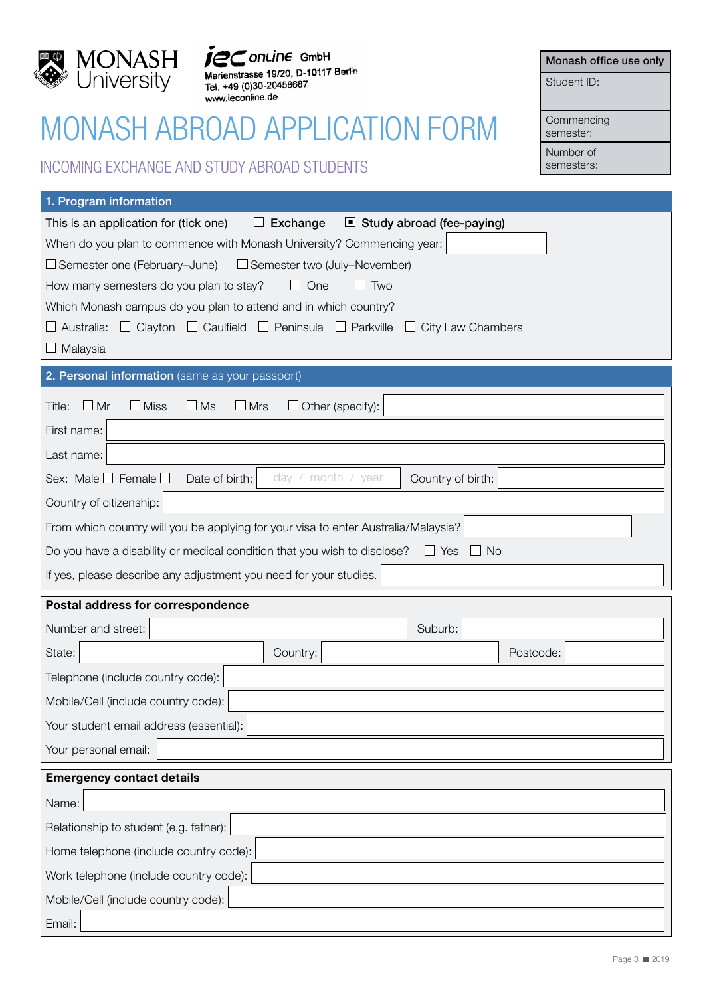

www.ieconline.de

## MONASH ABROAD APPLICATION FORM

### INCOMING EXCHANGE AND STUDY ABROAD STUDENTS

Monash office use only

Student ID:

**Commencing** semester:

Number of

semesters:

| 1. Program information                                                                                      |  |  |  |  |  |
|-------------------------------------------------------------------------------------------------------------|--|--|--|--|--|
| This is an application for (tick one)<br>$\Box$ Exchange<br>Study abroad (fee-paying)                       |  |  |  |  |  |
| When do you plan to commence with Monash University? Commencing year:                                       |  |  |  |  |  |
| $\Box$ Semester one (February–June)<br>$\Box$ Semester two (July–November)                                  |  |  |  |  |  |
| How many semesters do you plan to stay?<br>$\Box$ One<br>Two                                                |  |  |  |  |  |
| Which Monash campus do you plan to attend and in which country?                                             |  |  |  |  |  |
| $\Box$ Clayton $\Box$ Caulfield $\Box$ Peninsula $\Box$ Parkville<br>Australia:<br>$\Box$ City Law Chambers |  |  |  |  |  |
| $\Box$ Malaysia                                                                                             |  |  |  |  |  |
| 2. Personal information (same as your passport)                                                             |  |  |  |  |  |
| $\Box$ Mr<br>$\Box$ Other (specify):<br>$\Box$ Miss<br>$\Box$ Ms<br>$\Box$ Mrs<br>Title:                    |  |  |  |  |  |
| First name:                                                                                                 |  |  |  |  |  |
| Last name:                                                                                                  |  |  |  |  |  |
| day / month / year<br>Sex: Male $\Box$ Female $\Box$<br>Date of birth:<br>Country of birth:                 |  |  |  |  |  |
| Country of citizenship:                                                                                     |  |  |  |  |  |
| From which country will you be applying for your visa to enter Australia/Malaysia?                          |  |  |  |  |  |
| Do you have a disability or medical condition that you wish to disclose? $\Box$ Yes<br>$\Box$ No            |  |  |  |  |  |
| If yes, please describe any adjustment you need for your studies.                                           |  |  |  |  |  |
| Postal address for correspondence                                                                           |  |  |  |  |  |
| Number and street:<br>Suburb:                                                                               |  |  |  |  |  |
| State:<br>Country:<br>Postcode:                                                                             |  |  |  |  |  |
| Telephone (include country code):                                                                           |  |  |  |  |  |
| Mobile/Cell (include country code):                                                                         |  |  |  |  |  |
| Your student email address (essential):                                                                     |  |  |  |  |  |
| Your personal email:                                                                                        |  |  |  |  |  |
| <b>Emergency contact details</b>                                                                            |  |  |  |  |  |
| Name:                                                                                                       |  |  |  |  |  |
| Relationship to student (e.g. father):                                                                      |  |  |  |  |  |
| Home telephone (include country code):                                                                      |  |  |  |  |  |
| Work telephone (include country code):                                                                      |  |  |  |  |  |
| Mobile/Cell (include country code):                                                                         |  |  |  |  |  |
| Email:                                                                                                      |  |  |  |  |  |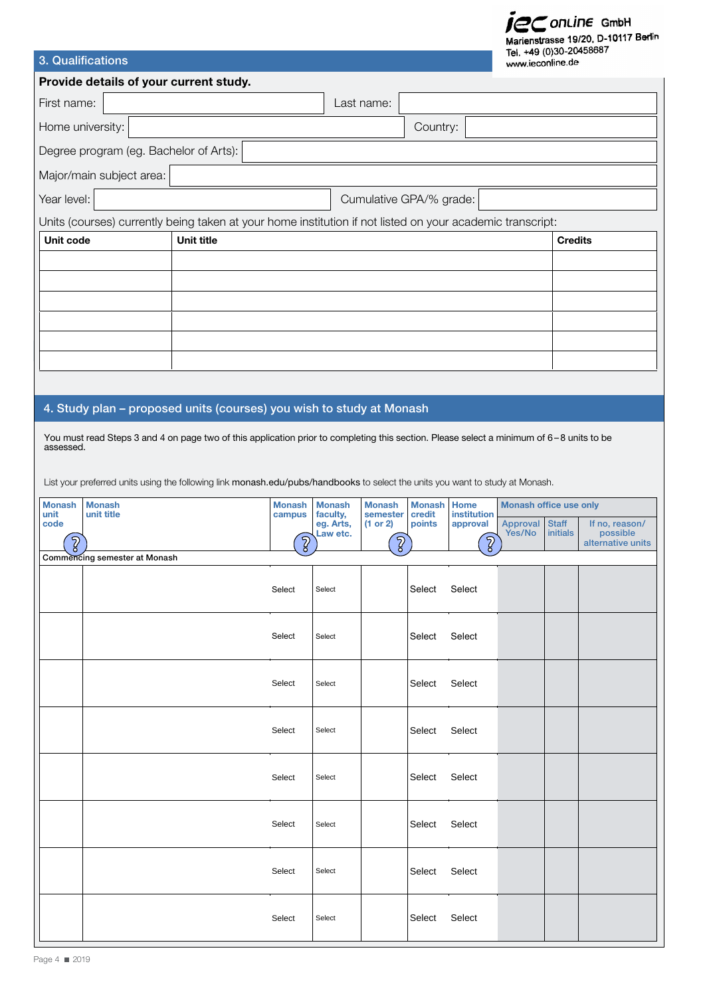# Secontine GmbH<br>Marienstrasse 19/20, D-10117 Berlin

| 3. Qualifications                      |                                        |                                                                                                                                          |                          |                                   |                         |                  | Tel. +49 (0)30-20458687<br>www.ieconline.de |                               |                          |                            |
|----------------------------------------|----------------------------------------|------------------------------------------------------------------------------------------------------------------------------------------|--------------------------|-----------------------------------|-------------------------|------------------|---------------------------------------------|-------------------------------|--------------------------|----------------------------|
| Provide details of your current study. |                                        |                                                                                                                                          |                          |                                   |                         |                  |                                             |                               |                          |                            |
| First name:<br>Last name:              |                                        |                                                                                                                                          |                          |                                   |                         |                  |                                             |                               |                          |                            |
| Home university:<br>Country:           |                                        |                                                                                                                                          |                          |                                   |                         |                  |                                             |                               |                          |                            |
|                                        | Degree program (eg. Bachelor of Arts): |                                                                                                                                          |                          |                                   |                         |                  |                                             |                               |                          |                            |
|                                        | Major/main subject area:               |                                                                                                                                          |                          |                                   |                         |                  |                                             |                               |                          |                            |
| Year level:                            |                                        |                                                                                                                                          |                          |                                   | Cumulative GPA/% grade: |                  |                                             |                               |                          |                            |
|                                        |                                        | Units (courses) currently being taken at your home institution if not listed on your academic transcript:                                |                          |                                   |                         |                  |                                             |                               |                          |                            |
| Unit code                              |                                        | Unit title                                                                                                                               |                          |                                   |                         |                  |                                             |                               | <b>Credits</b>           |                            |
|                                        |                                        |                                                                                                                                          |                          |                                   |                         |                  |                                             |                               |                          |                            |
|                                        |                                        |                                                                                                                                          |                          |                                   |                         |                  |                                             |                               |                          |                            |
|                                        |                                        |                                                                                                                                          |                          |                                   |                         |                  |                                             |                               |                          |                            |
|                                        |                                        |                                                                                                                                          |                          |                                   |                         |                  |                                             |                               |                          |                            |
|                                        |                                        |                                                                                                                                          |                          |                                   |                         |                  |                                             |                               |                          |                            |
|                                        |                                        |                                                                                                                                          |                          |                                   |                         |                  |                                             |                               |                          |                            |
|                                        |                                        | 4. Study plan - proposed units (courses) you wish to study at Monash                                                                     |                          |                                   |                         |                  |                                             |                               |                          |                            |
|                                        |                                        | You must read Steps 3 and 4 on page two of this application prior to completing this section. Please select a minimum of 6-8 units to be |                          |                                   |                         |                  |                                             |                               |                          |                            |
| assessed.                              |                                        |                                                                                                                                          |                          |                                   |                         |                  |                                             |                               |                          |                            |
|                                        |                                        | List your preferred units using the following link monash.edu/pubs/handbooks to select the units you want to study at Monash.            |                          |                                   |                         |                  |                                             |                               |                          |                            |
| <b>Monash</b>                          | <b>Monash</b>                          |                                                                                                                                          | <b>Monash</b>            | <b>Monash</b>                     | <b>Monash</b>           | <b>Monash</b>    | <b>Home</b>                                 | <b>Monash office use only</b> |                          |                            |
| unit<br>code                           | unit title                             |                                                                                                                                          | campus                   | faculty,<br>eg. Arts,<br>Law etc. | semester<br>(1 or 2)    | credit<br>points | institution<br>approval                     | Approval<br>Yes/No            | <b>Staff</b><br>initials | If no, reason/<br>possible |
| $\sqrt{2}$                             | Commencing semester at Monash          |                                                                                                                                          | $\overline{\mathcal{E}}$ |                                   | $\sqrt{2}$              |                  | $\sqrt{2}$                                  |                               |                          | alternative units          |
|                                        |                                        |                                                                                                                                          |                          |                                   |                         |                  |                                             |                               |                          |                            |
|                                        |                                        |                                                                                                                                          | Select                   | Select                            |                         | Select           | Select                                      |                               |                          |                            |
|                                        |                                        |                                                                                                                                          |                          |                                   |                         |                  |                                             |                               |                          |                            |
|                                        |                                        |                                                                                                                                          | Select                   | Select                            |                         | Select           | Select                                      |                               |                          |                            |
|                                        |                                        |                                                                                                                                          |                          |                                   |                         |                  |                                             |                               |                          |                            |
|                                        |                                        |                                                                                                                                          | Select                   | Select                            |                         | Select           | Select                                      |                               |                          |                            |
|                                        |                                        |                                                                                                                                          |                          |                                   |                         |                  |                                             |                               |                          |                            |
|                                        |                                        |                                                                                                                                          | Select                   | Select                            |                         | Select           | Select                                      |                               |                          |                            |
|                                        |                                        |                                                                                                                                          |                          |                                   |                         |                  |                                             |                               |                          |                            |
|                                        |                                        |                                                                                                                                          | Select                   | Select                            |                         | Select           | Select                                      |                               |                          |                            |
|                                        |                                        |                                                                                                                                          |                          |                                   |                         |                  |                                             |                               |                          |                            |
|                                        |                                        |                                                                                                                                          | Select                   | Select                            |                         | Select           | Select                                      |                               |                          |                            |
|                                        |                                        |                                                                                                                                          |                          |                                   |                         |                  |                                             |                               |                          |                            |
|                                        |                                        |                                                                                                                                          | Select                   | Select                            |                         | Select           | Select                                      |                               |                          |                            |
|                                        |                                        |                                                                                                                                          |                          |                                   |                         |                  |                                             |                               |                          |                            |
|                                        |                                        |                                                                                                                                          | Select                   | Select                            |                         | Select           | Select                                      |                               |                          |                            |
|                                        |                                        |                                                                                                                                          |                          |                                   |                         |                  |                                             |                               |                          |                            |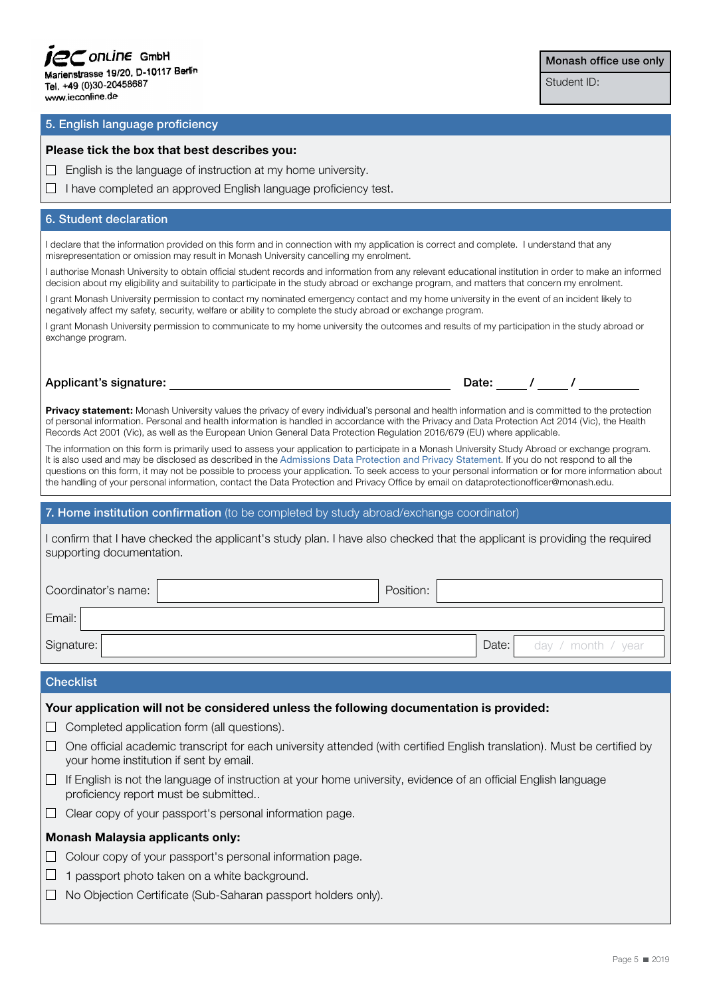| $FC$ on Line GmbH                   |  |
|-------------------------------------|--|
| Marienstrasse 19/20, D-10117 Berlin |  |
| Tel. +49 (0)30-20458687             |  |
| www.ieconline.de                    |  |

### Monash office use only

Student ID:

### 5. English language proficiency

#### **Please tick the box that best describes you:**

 $\Box$  English is the language of instruction at my home university.

 $\Box$  I have completed an approved English language proficiency test.

### 6. Student declaration

I declare that the information provided on this form and in connection with my application is correct and complete. I understand that any misrepresentation or omission may result in Monash University cancelling my enrolment.

I authorise Monash University to obtain official student records and information from any relevant educational institution in order to make an informed decision about my eligibility and suitability to participate in the study abroad or exchange program, and matters that concern my enrolment.

I grant Monash University permission to contact my nominated emergency contact and my home university in the event of an incident likely to negatively affect my safety, security, welfare or ability to complete the study abroad or exchange program.

I grant Monash University permission to communicate to my home university the outcomes and results of my participation in the study abroad or exchange program.

### Applicant's signature:  $\begin{array}{ccccccc} \hline \end{array}$

**Privacy statement:** Monash University values the privacy of every individual's personal and health information and is committed to the protection of personal information. Personal and health information is handled in accordance with the Privacy and Data Protection Act 2014 (Vic), the Health Records Act 2001 (Vic), as well as the European Union General Data Protection Regulation 2016/679 (EU) where applicable.

The information on this form is primarily used to assess your application to participate in a Monash University Study Abroad or exchange program. It is also used and may be disclosed as described in the Admissions Data Protection and Privacy Statement. If you do not respond to all the questions on this form, it may not be possible to process your application. To seek access to your personal information or for more information about the handling of your personal information, contact the Data Protection and Privacy Office by email on dataprotectionofficer@monash.edu.

### 7. Home institution confirmation (to be completed by study abroad/exchange coordinator)

I confirm that I have checked the applicant's study plan. I have also checked that the applicant is providing the required supporting documentation.

| Coordinator's name: | Position: |       |                    |
|---------------------|-----------|-------|--------------------|
| Email:              |           |       |                    |
| Signature:          |           | Date: | day / month / year |

### **Checklist**

#### **Your application will not be considered unless the following documentation is provided:**

- $\Box$  Completed application form (all questions).
- $\Box$  One official academic transcript for each university attended (with certified English translation). Must be certified by your home institution if sent by email.
- $\Box$  If English is not the language of instruction at your home university, evidence of an official English language proficiency report must be submitted..
- Clear copy of your passport's personal information page.

### **Monash Malaysia applicants only:**

- $\Box$  Colour copy of your passport's personal information page.
- $\Box$  1 passport photo taken on a white background.
- $\Box$  No Objection Certificate (Sub-Saharan passport holders only).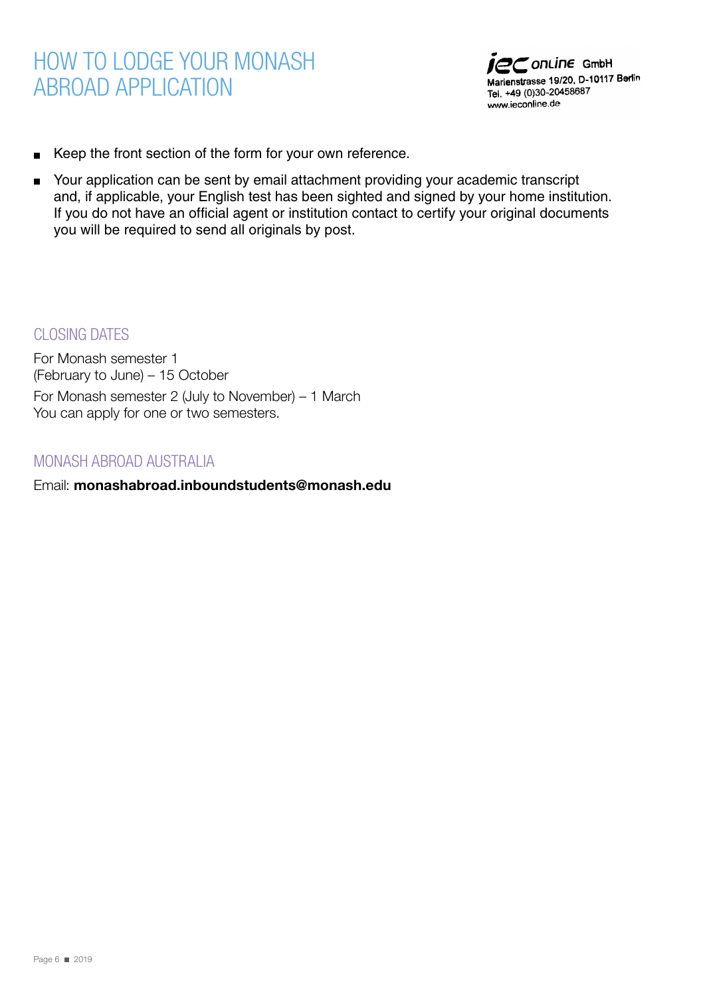## HOW TO LODGE YOUR MONASH ABROAD APPLICATION



- Keep the front section of the form for your own reference.  $\blacksquare$
- Your application can be sent by email attachment providing your academic transcript  $\blacksquare$ and, if applicable, your English test has been sighted and signed by your home institution. If you do not have an official agent or institution contact to certify your original documents you will be required to send all originals by post.

CLOSING DATES

For Monash semester 1 (February to June) – 15 October For Monash semester 2 (July to November) – 1 March You can apply for one or two semesters.

### MONASH ABROAD AUSTRALIA

Email: **monashabroad.inboundstudents@monash.edu**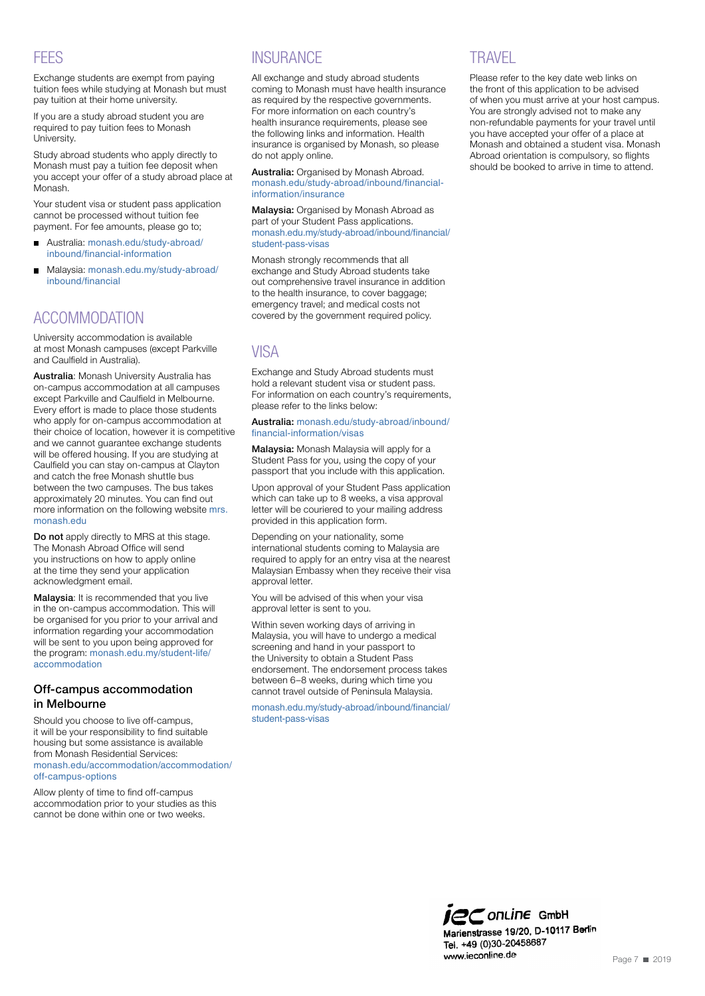### **FEES**

Exchange students are exempt from paying tuition fees while studying at Monash but must pay tuition at their home university.

If you are a study abroad student you are required to pay tuition fees to Monash University.

Study abroad students who apply directly to Monash must pay a tuition fee deposit when you accept your offer of a study abroad place at Monash.

Your student visa or student pass application cannot be processed without tuition fee payment. For fee amounts, please go to;

- $\blacksquare$ Australia: [monash.edu/study-abroad/](http://monash.edu/study-abroad/inbound/financial-information) [inbound/financial-information](http://monash.edu/study-abroad/inbound/financial-information)
- Malaysia: [monash.edu.my/study-abroad/](https://monash.edu.my/study-abroad/inbound/financial)  $\blacksquare$ [inbound/financial](https://monash.edu.my/study-abroad/inbound/financial)

### ACCOMMODATION

University accommodation is available at most Monash campuses (except Parkville and Caulfield in Australia).

Australia: Monash University Australia has on-campus accommodation at all campuses except Parkville and Caulfield in Melbourne. Every effort is made to place those students who apply for on-campus accommodation at their choice of location, however it is competitive and we cannot guarantee exchange students will be offered housing. If you are studying at Caulfield you can stay on-campus at Clayton and catch the free Monash shuttle bus between the two campuses. The bus takes approximately 20 minutes. You can find out more information on the following website [mrs.](http://www.mrs.monash.edu) [monash.edu](http://www.mrs.monash.edu)

Do not apply directly to MRS at this stage. The Monash Abroad Office will send you instructions on how to apply online at the time they send your application acknowledgment email.

Malaysia: It is recommended that you live in the on-campus accommodation. This will be organised for you prior to your arrival and information regarding your accommodation will be sent to you upon being approved for the program: [monash.edu.my/student-life/](http://www.monash.edu.my/student-life/accommodation) [accommodation](http://www.monash.edu.my/student-life/accommodation)

### Off-campus accommodation in Melbourne

Should you choose to live off-campus, it will be your responsibility to find suitable housing but some assistance is available from Monash Residential Services: [monash.edu/accommodation/accommodation/](https://www.monash.edu/study-abroad/inbound/financial-information/insurance) [off-campus-options](https://www.monash.edu/study-abroad/inbound/financial-information/insurance)

Allow plenty of time to find off-campus accommodation prior to your studies as this cannot be done within one or two weeks.

### **INSURANCE**

All exchange and study abroad students coming to Monash must have health insurance as required by the respective governments. For more information on each country's health insurance requirements, please see the following links and information. Health insurance is organised by Monash, so please do not apply online.

Australia: Organised by Monash Abroad. [monash.edu/study-abroad/inbound/financial](https://www.monash.edu/study-abroad/inbound/financial-information/insurance)[information/insurance](https://www.monash.edu/study-abroad/inbound/financial-information/insurance)

Malaysia: Organised by Monash Abroad as part of your Student Pass applications. [monash.edu.my/study-abroad/inbound/financial/](https://monash.edu.my/study-abroad/inbound/financial/student-pass-visas) [student-pass-visas](https://monash.edu.my/study-abroad/inbound/financial/student-pass-visas)

Monash strongly recommends that all exchange and Study Abroad students take out comprehensive travel insurance in addition to the health insurance, to cover baggage; emergency travel; and medical costs not covered by the government required policy.

### VISA

Exchange and Study Abroad students must hold a relevant student visa or student pass. For information on each country's requirements, please refer to the links below:

Australia: [monash.edu/study-abroad/inbound/](http://monash.edu/study-abroad/inbound/financial-information/visas) [financial-information/visas](http://monash.edu/study-abroad/inbound/financial-information/visas)

Malaysia: Monash Malaysia will apply for a Student Pass for you, using the copy of your passport that you include with this application.

Upon approval of your Student Pass application which can take up to 8 weeks, a visa approval letter will be couriered to your mailing address provided in this application form.

Depending on your nationality, some international students coming to Malaysia are required to apply for an entry visa at the nearest Malaysian Embassy when they receive their visa annroval letter

You will be advised of this when your visa approval letter is sent to you.

Within seven working days of arriving in Malaysia, you will have to undergo a medical screening and hand in your passport to the University to obtain a Student Pass endorsement. The endorsement process takes between 6–8 weeks, during which time you cannot travel outside of Peninsula Malaysia.

[monash.edu.my/study-abroad/inbound/financial/](https://monash.edu.my/study-abroad/inbound/financial/student-pass-visas) [student-pass-visas](https://monash.edu.my/study-abroad/inbound/financial/student-pass-visas)

### **TRAVEL**

Please refer to the key date web links on the front of this application to be advised of when you must arrive at your host campus. You are strongly advised not to make any non-refundable payments for your travel until you have accepted your offer of a place at Monash and obtained a student visa. Monash Abroad orientation is compulsory, so flights should be booked to arrive in time to attend.

**jec** on Line GmbH Marienstrasse 19/20, D-10117 Berlin Tel. +49 (0)30-20458687 www.ieconline.de